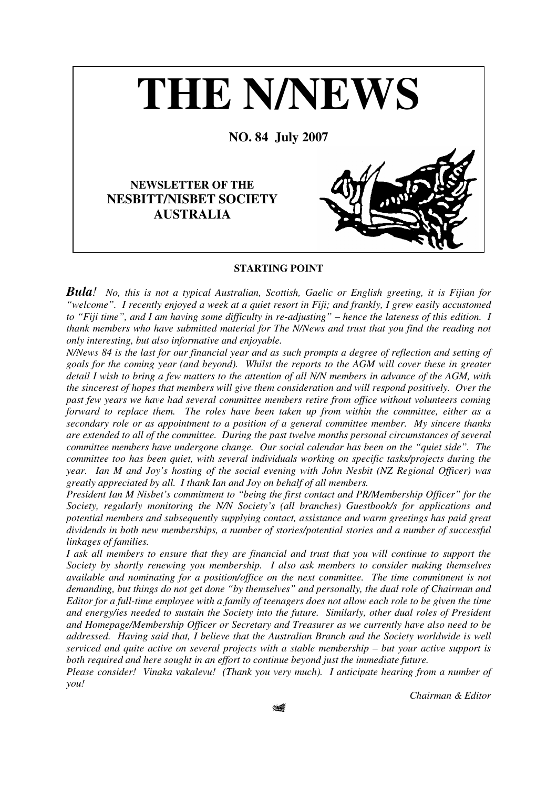

## **STARTING POINT**

*Bula! No, this is not a typical Australian, Scottish, Gaelic or English greeting, it is Fijian for* "welcome". I recently enjoyed a week at a quiet resort in Fiji; and frankly, I grew easily accustomed to "Fiji time", and I am having some difficulty in re-adjusting" – hence the lateness of this edition. I *thank members who have submitted material for The N/News and trust that you find the reading not only interesting, but also informative and enjoyable.*

N/News 84 is the last for our financial year and as such prompts a degree of reflection and setting of *goals for the coming year (and beyond). Whilst the reports to the AGM will cover these in greater* detail I wish to bring a few matters to the attention of all N/N members in advance of the AGM, with *the sincerest of hopes that members will give them consideration and will respond positively. Over the past few years we have had several committee members retire from office without volunteers coming forward to replace them. The roles have been taken up from within the committee, either as a secondary role or as appointment to a position of a general committee member. My sincere thanks are extended to all of the committee. During the past twelve months personal circumstances of several committee members have undergone change. Our social calendar has been on the "quiet side". The committee too has been quiet, with several individuals working on specific tasks/projects during the year. Ian M and Joy's hosting of the social evening with John Nesbit (NZ Regional Officer) was greatly appreciated by all. I thank Ian and Joy on behalf of all members.*

*President Ian M Nisbet's commitment to "being the first contact and PR/Membership Officer" for the Society, regularly monitoring the N/N Society's (all branches) Guestbook/s for applications and potential members and subsequently supplying contact, assistance and warm greetings has paid great dividends in both new memberships, a number of stories/potential stories and a number of successful linkages of families.*

I ask all members to ensure that they are financial and trust that you will continue to support the *Society by shortly renewing you membership. I also ask members to consider making themselves available and nominating for a position/office on the next committee. The time commitment is not demanding, but things do not get done "by themselves" and personally, the dual role of Chairman and* Editor for a full-time employee with a family of teenagers does not allow each role to be given the time *and energy/ies needed to sustain the Society into the future. Similarly, other dual roles of President and Homepage/Membership Officer or Secretary and Treasurer as we currently have also need to be addressed. Having said that, I believe that the Australian Branch and the Society worldwide is well serviced and quite active on several projects with a stable membership – but your active support is both required and here sought in an effort to continue beyond just the immediate future.*

*Please consider! Vinaka vakalevu! (Thank you very much). I anticipate hearing from a number of you!*

*Chairman & Editor*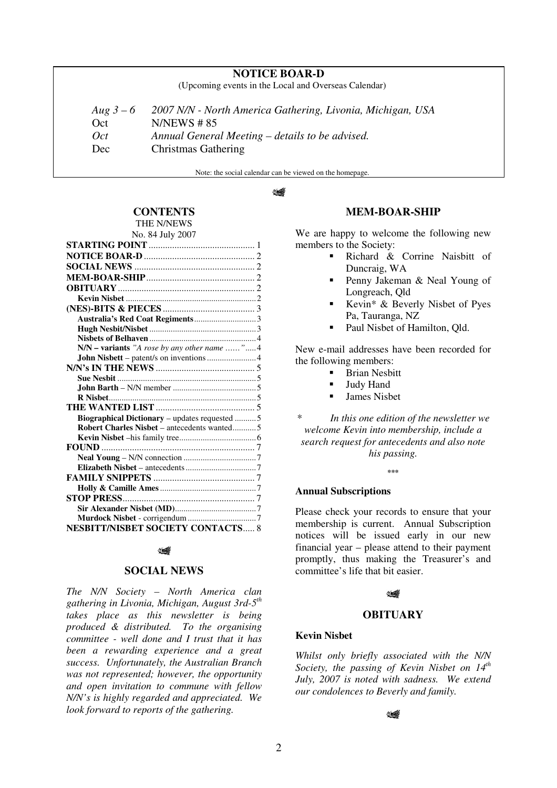# **NOTICE BOAR-D**

(Upcoming events in the Local and Overseas Calendar)

| Aug $3-6$ | 2007 N/N - North America Gathering, Livonia, Michigan, USA |
|-----------|------------------------------------------------------------|
| Oct       | $N/NEWS \# 85$                                             |
| Oct       | Annual General Meeting – details to be advised.            |
| Dec       | Christmas Gathering                                        |
|           |                                                            |

Note: the social calendar can be viewed on the homepage.

#### ∜∰

# **CONTENTS**

THE N/NEWS No. 84 July 2007

| N/N - variants "A rose by any other name "4        |  |  |
|----------------------------------------------------|--|--|
|                                                    |  |  |
|                                                    |  |  |
|                                                    |  |  |
|                                                    |  |  |
|                                                    |  |  |
|                                                    |  |  |
| Biographical Dictionary - updates requested 5      |  |  |
| <b>Robert Charles Nisbet – antecedents wanted5</b> |  |  |
|                                                    |  |  |
|                                                    |  |  |
|                                                    |  |  |
|                                                    |  |  |
|                                                    |  |  |
|                                                    |  |  |
|                                                    |  |  |
|                                                    |  |  |
|                                                    |  |  |
| <b>NESBITT/NISBET SOCIETY CONTACTS 8</b>           |  |  |

### ∜

### **SOCIAL NEWS**

*The N/N Society – North America clan gathering in Livonia, Michigan, August 3rd-5 th takes place as this newsletter is being produced & distributed. To the organising committee - well done and I trust that it has been a rewarding experience and a great success. Unfortunately, the Australian Branch was not represented; however, the opportunity and open invitation to commune with fellow N/N's is highly regarded and appreciated. We look forward to reports of the gathering.*

## **MEM-BOAR-SHIP**

We are happy to welcome the following new members to the Society:

- Richard & Corrine Naisbitt of Duncraig, WA
- Penny Jakeman & Neal Young of Longreach, Qld
- Kevin\* & Beverly Nisbet of Pyes Pa, Tauranga, NZ
- Paul Nisbet of Hamilton, Old.

New e-mail addresses have been recorded for the following members:

- **Brian Nesbitt**
- **Judy Hand**
- **James Nishet**

*\* In this one edition of the newsletter we welcome Kevin into membership, include a search request for antecedents and also note his passing.*

**\*\*\***

### **Annual Subscriptions**

Please check your records to ensure that your membership is current. Annual Subscription notices will be issued early in our new financial year – please attend to their payment promptly, thus making the Treasurer's and committee's life that bit easier.

## 14

## **OBITUARY**

### **Kevin Nisbet**

*Whilst only briefly associated with the N/N Society, the passing of Kevin Nisbet on 14 th July, 2007 is noted with sadness. We extend our condolences to Beverly and family.*

## كصاد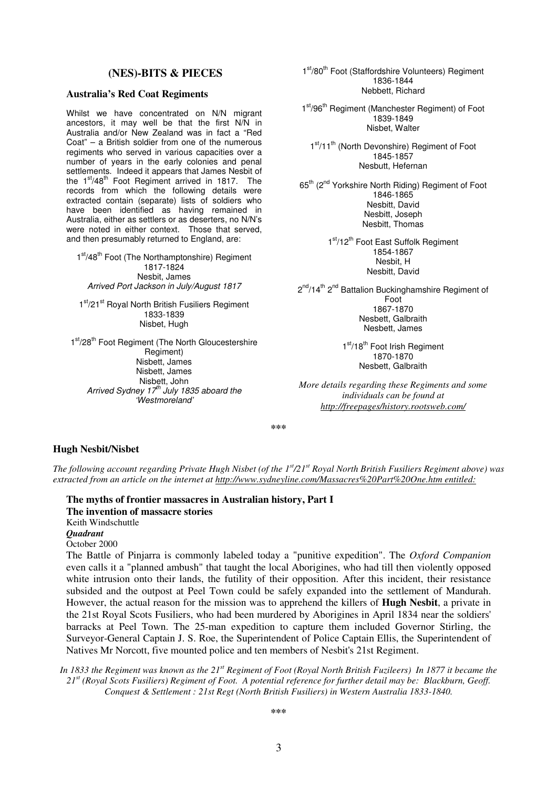## **(NES)-BITS & PIECES**

### **Australia's Red Coat Regiments**

Whilst we have concentrated on N/N migrant ancestors, it may well be that the first N/N in Australia and/or New Zealand was in fact a "Red Coat" – a British soldier from one of the numerous regiments who served in various capacities over a number of years in the early colonies and penal settlements. Indeed it appears that James Nesbit of the 1<sup>st</sup>/48<sup>th</sup> Foot Regiment arrived in 1817. The records from which the following details were extracted contain (separate) lists of soldiers who have been identified as having remained in Australia, either as settlers or as deserters, no N/N's were noted in either context. Those that served, and then presumably returned to England, are:

1<sup>st</sup>/48<sup>th</sup> Foot (The Northamptonshire) Regiment 1817-1824 Nesbit, James *Arrived Port Jackson in July/August 1817*

1st/21st Royal North British Fusiliers Regiment 1833-1839 Nisbet, Hugh

1<sup>st</sup>/28<sup>th</sup> Foot Regiment (The North Gloucestershire Regiment) Nisbett, James Nisbett, James Nisbett, John *Arrived Sydney 17 th July 1835 aboard the 'Westmoreland'*

1<sup>st</sup>/80<sup>th</sup> Foot (Staffordshire Volunteers) Regiment 1836-1844 Nebbett, Richard

1<sup>st</sup>/96<sup>th</sup> Regiment (Manchester Regiment) of Foot 1839-1849 Nisbet, Walter

1st/11<sup>th</sup> (North Devonshire) Regiment of Foot 1845-1857 Nesbutt, Hefernan

65<sup>th</sup> (2<sup>nd</sup> Yorkshire North Riding) Regiment of Foot 1846-1865 Nesbitt, David Nesbitt, Joseph Nesbitt, Thomas

> 1<sup>st</sup>/12<sup>th</sup> Foot East Suffolk Regiment 1854-1867 Nesbit, H Nesbitt, David

2<sup>nd</sup>/14<sup>th</sup> 2<sup>nd</sup> Battalion Buckinghamshire Regiment of Foot 1867-1870 Nesbett, Galbraith Nesbett, James

> 1<sup>st</sup>/18<sup>th</sup> Foot Irish Regiment 1870-1870 Nesbett, Galbraith

*More details regarding these Regiments and some individuals can be found at http://freepages/history.rootsweb.com/*

**\*\*\***

### **Hugh Nesbit/Nisbet**

The following account regarding Private Hugh Nisbet (of the 1<sup>st</sup>/21<sup>st</sup> Royal North British Fusiliers Regiment above) was *extracted from an article on the internet at http://www.sydneyline.com/Massacres%20Part%20One.htm entitled:*

**The myths of frontier massacres in Australian history, Part I The invention of massacre stories** Keith Windschuttle *Quadrant* October 2000

The Battle of Pinjarra is commonly labeled today a "punitive expedition". The *Oxford Companion* even calls it a "planned ambush" that taught the local Aborigines, who had till then violently opposed white intrusion onto their lands, the futility of their opposition. After this incident, their resistance subsided and the outpost at Peel Town could be safely expanded into the settlement of Mandurah. However, the actual reason for the mission was to apprehend the killers of **Hugh Nesbit**, a private in the 21st Royal Scots Fusiliers, who had been murdered by Aborigines in April 1834 near the soldiers' barracks at Peel Town. The 25-man expedition to capture them included Governor Stirling, the Surveyor-General Captain J. S. Roe, the Superintendent of Police Captain Ellis, the Superintendent of Natives Mr Norcott, five mounted police and ten members of Nesbit's 21st Regiment.

In 1833 the Regiment was known as the 21<sup>st</sup> Regiment of Foot (Royal North British Fuzileers) In 1877 it became the 21st (Royal Scots Fusiliers) Regiment of Foot. A potential reference for further detail may be: Blackburn, Geoff. *Conquest & Settlement : 21st Regt (North British Fusiliers) in Western Australia 1833-1840.*

**\*\*\***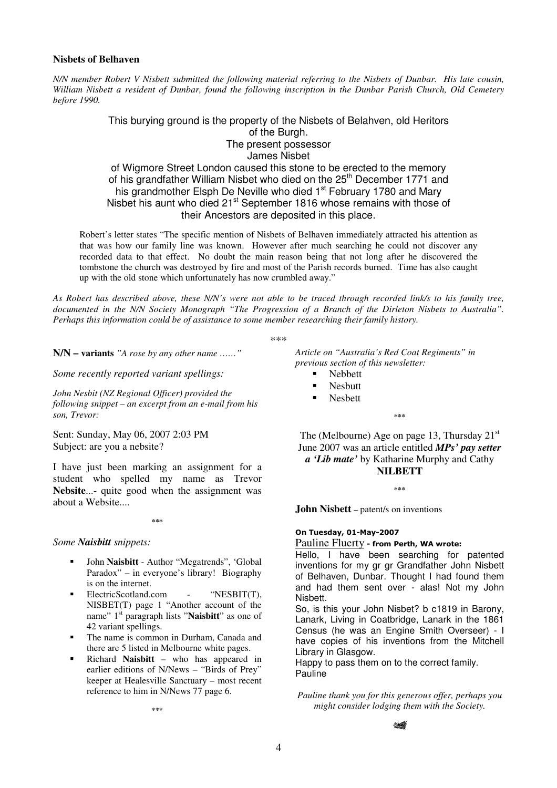## **Nisbets of Belhaven**

N/N member Robert V Nisbett submitted the following material referring to the Nisbets of Dunbar. His late cousin, William Nisbett a resident of Dunbar, found the following inscription in the Dunbar Parish Church, Old Cemetery *before 1990.*

> This burying ground is the property of the Nisbets of Belahven, old Heritors of the Burgh. The present possessor James Nisbet of Wigmore Street London caused this stone to be erected to the memory of his grandfather William Nisbet who died on the 25<sup>th</sup> December 1771 and

> his grandmother Elsph De Neville who died 1<sup>st</sup> February 1780 and Mary Nisbet his aunt who died 21<sup>st</sup> September 1816 whose remains with those of their Ancestors are deposited in this place.

Robert's letter states "The specific mention of Nisbets of Belhaven immediately attracted his attention as that was how our family line was known. However after much searching he could not discover any recorded data to that effect. No doubt the main reason being that not long after he discovered the tombstone the church was destroyed by fire and most of the Parish records burned. Time has also caught up with the old stone which unfortunately has now crumbled away."

As Robert has described above, these N/N's were not able to be traced through recorded link/s to his family tree, documented in the N/N Society Monograph "The Progression of a Branch of the Dirleton Nisbets to Australia". *Perhaps this information could be of assistance to some member researching their family history.*

\*\*\*

**N/N – variants** *"A rose by any other name ……"*

*Some recently reported variant spellings:*

*John Nesbit (NZ Regional Officer) provided the following snippet – an excerpt from an e-mail from his son, Trevor:*

Sent: Sunday, May 06, 2007 2:03 PM Subject: are you a nebsite?

I have just been marking an assignment for a student who spelled my name as Trevor **Nebsite**...- quite good when the assignment was about a Website....

**\*\*\***

### *Some Naisbitt snippets:*

- John **Naisbitt** Author "Megatrends", 'Global Paradox" – in everyone's library! Biography is on the internet.
- ElectricScotland.com "NESBIT(T), NISBET(T) page 1 "Another account of the name" 1<sup>st</sup> paragraph lists "Naisbitt" as one of 42 variant spellings.
- The name is common in Durham, Canada and there are 5 listed in Melbourne white pages.
- Richard **Naisbitt** who has appeared in earlier editions of N/News – "Birds of Prey" keeper at Healesville Sanctuary – most recent reference to him in N/News 77 page 6.

**\*\*\***

*Article on "Australia's Red Coat Regiments" in previous section of this newsletter:*

- Nebbett
- Nesbutt
- Nesbett

**\*\*\***

The (Melbourne) Age on page 13, Thursday 21<sup>st</sup> June 2007 was an article entitled *MPs' pay setter a 'Lib mate'* by Katharine Murphy and Cathy **NILBETT**

**\*\*\***

**John Nisbett** – patent/s on inventions

### On Tuesday, 01-May-2007

## Pauline Fluerty - from Perth, WA wrote:

Hello, I have been searching for patented inventions for my gr gr Grandfather John Nisbett of Belhaven, Dunbar. Thought I had found them and had them sent over - alas! Not my John Nisbett.

So, is this your John Nisbet? b c1819 in Barony, Lanark, Living in Coatbridge, Lanark in the 1861 Census (he was an Engine Smith Overseer) - I have copies of his inventions from the Mitchell Library in Glasgow.

Happy to pass them on to the correct family. Pauline

*Pauline thank you for this generous offer, perhaps you might consider lodging them with the Society.*

که ن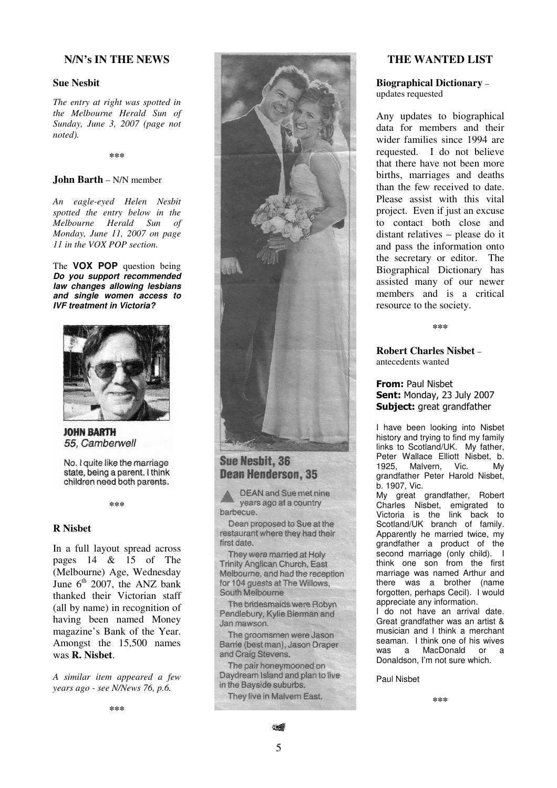# **N/N ' s I N T H E N E W S**

## **S u e N e s b i t**

*rhe entry at right was spotted in the Melbourne Herald Sun of Sunday, June 3, 2007* (*page not n o t e d) .*

**\* \* \***

### **John Barth** – N/N member

An eagle-eyed Helen Nesbit *spotted the entry below in the Melbourne Herald Sun of Monday, June 11, 2007 on page I*<sub>1</sub> in the VOX POP section.

The **VOX POP** question being *Do you***<b>***support recommended law changes allowing lesbians a n d s in g le wo m e n a c c e s s t o I VF tre a tm e n t in Vic t o ria ?*



## **JOHN BARTH** 55, Camberwell

No. I quite like the marriage state, being a parent. I think children need both parents.

**\* \* \***

## **R N i s b e t**

In a full layout spread across pages  $14 \& 15 \text{ of }$  The (Melbourne) Age, Wednesday June  $6^{\text{th}}$  2007, the ANZ bank thanked their Victorian staff (all by name) in recognition of having been named Money magazine's Bank of the Year. Amongst the 15,500 names was **R.** Nisbet.

A similar item appeared a few *y e a rs a g o - s e e N/Ne w s 76, p . 6 .*





# **Sue Nesbit, 36 Dean Henderson, 35**

**DEAN and Sue met nine** years ago at a country barbecue.

Dean proposed to Sue at the restaurant where they had their first date

They were married at Holy Trinity Anglican Church, East Melbourne, and had the reception for 104 quests at The Willows. South Melbourne

The bridesmaids were Robyn Pendlebury, Kylie Bierman and Jan mawson.

The groomsmen were Jason Barrie (best man), Jason Draper and Craig Stevens.

The pair honeymooned on Daydream Island and plan to live in the Bayside suburbs.

They live in Malvern East.

## **THE WANTED LIST**

**Biographical Dictionary –** updates requested

Any updates to biographical data for members and their wider families since 1994 are requested. I do not believe that there have not been more births, marriages and deaths than the few received to date. Please assist with this vital project. Even if just an excuse to contact both close and distant relatives – please do it and pass the information onto the secretary or editor. The Biographical Dictionary has assisted many of our newer members and is a critical resource to the society.

**\* \* \***

**Robert Charles Nisbet –** antecedents wanted

**From:** Paul Nisbet **Sent:** Monday, 23 July 2007 Subject: great grandfather

I have been looking into Nisbet history and trying to find my family links to Scotland/UK. My father, Peter Wallace Elliott Nisbet, b.<br>1925. Malvern. Vic. Mv Malvern, Vic. My grandfather Peter Harold Nisbet, b. 1907, Vic.

My great grandfather, Robert Charles Nisbet, emigrated to Victoria is the link back to Scotland/UK branch of family. Apparently he married twice, my grandfather a product of the second marriage (only child). I think one son from the first marriage was named Arthur and there was a brother (name forgotten, perhaps Cecil). I would appreciate any information.

I do not have an arrival date. Great grandfather was an artist & musician and I think a merchant seaman. I think one of his wives was a MacDonald or a Donaldson, I'm not sure which.

Paul Nisbet

**\*\*\***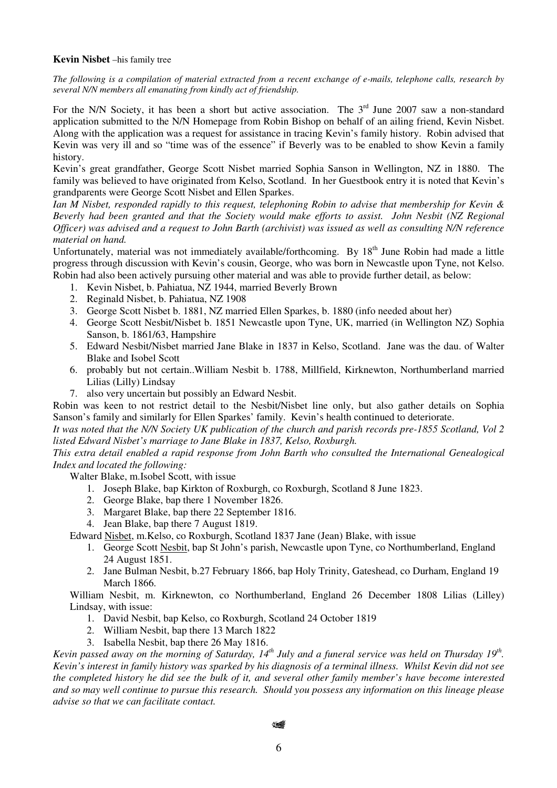## **Kevin Nisbet** –his family tree

The following is a compilation of material extracted from a recent exchange of e-mails, telephone calls, research by *several N/N members all emanating from kindly act of friendship.*

For the N/N Society, it has been a short but active association. The  $3<sup>rd</sup>$  June 2007 saw a non-standard application submitted to the N/N Homepage from Robin Bishop on behalf of an ailing friend, Kevin Nisbet. Along with the application was a request for assistance in tracing Kevin's family history. Robin advised that Kevin was very ill and so "time was of the essence" if Beverly was to be enabled to show Kevin a family history.

Kevin's great grandfather, George Scott Nisbet married Sophia Sanson in Wellington, NZ in 1880. The family was believed to have originated from Kelso, Scotland. In her Guestbook entry it is noted that Kevin's grandparents were George Scott Nisbet and Ellen Sparkes.

*Ian M Nisbet, responded rapidly to this request, telephoning Robin to advise that membership for Kevin & Beverly had been granted and that the Society would make efforts to assist. John Nesbit (NZ Regional* Officer) was advised and a request to John Barth (archivist) was issued as well as consulting N/N reference *material on hand.*

Unfortunately, material was not immediately available/forthcoming. By 18<sup>th</sup> June Robin had made a little progress through discussion with Kevin's cousin, George, who was born in Newcastle upon Tyne, not Kelso. Robin had also been actively pursuing other material and was able to provide further detail, as below:

- 1. Kevin Nisbet, b. Pahiatua, NZ 1944, married Beverly Brown
- 2. Reginald Nisbet, b. Pahiatua, NZ 1908
- 3. George Scott Nisbet b. 1881, NZ married Ellen Sparkes, b. 1880 (info needed about her)
- 4. George Scott Nesbit/Nisbet b. 1851 Newcastle upon Tyne, UK, married (in Wellington NZ) Sophia Sanson, b. 1861/63, Hampshire
- 5. Edward Nesbit/Nisbet married Jane Blake in 1837 in Kelso, Scotland. Jane was the dau. of Walter Blake and Isobel Scott
- 6. probably but not certain..William Nesbit b. 1788, Millfield, Kirknewton, Northumberland married Lilias (Lilly) Lindsay
- 7. also very uncertain but possibly an Edward Nesbit.

Robin was keen to not restrict detail to the Nesbit/Nisbet line only, but also gather details on Sophia Sanson's family and similarly for Ellen Sparkes' family. Kevin's health continued to deteriorate.

It was noted that the N/N Society UK publication of the church and parish records pre-1855 Scotland, Vol 2 *listed Edward Nisbet's marriage to Jane Blake in 1837, Kelso, Roxburgh.*

*This extra detail enabled a rapid response from John Barth who consulted the International Genealogical Index and located the following:*

Walter Blake, m.Isobel Scott, with issue

- 1. Joseph Blake, bap Kirkton of Roxburgh, co Roxburgh, Scotland 8 June 1823.
- 2. George Blake, bap there 1 November 1826.
- 3. Margaret Blake, bap there 22 September 1816.
- 4. Jean Blake, bap there 7 August 1819.

Edward Nisbet, m.Kelso, co Roxburgh, Scotland 1837 Jane (Jean) Blake, with issue

- 1. George Scott Nesbit, bap St John's parish, Newcastle upon Tyne, co Northumberland, England 24 August 1851.
- 2. Jane Bulman Nesbit, b.27 February 1866, bap Holy Trinity, Gateshead, co Durham, England 19 March 1866.

William Nesbit, m. Kirknewton, co Northumberland, England 26 December 1808 Lilias (Lilley) Lindsay, with issue:

- 1. David Nesbit, bap Kelso, co Roxburgh, Scotland 24 October 1819
- 2. William Nesbit, bap there 13 March 1822
- 3. Isabella Nesbit, bap there 26 May 1816.

Kevin passed away on the morning of Saturday, 14<sup>th</sup> July and a funeral service was held on Thursday 19<sup>th</sup>. Kevin's interest in family history was sparked by his diagnosis of a terminal illness. Whilst Kevin did not see the completed history he did see the bulk of it, and several other family member's have become interested and so may well continue to pursue this research. Should you possess any information on this lineage please *advise so that we can facilitate contact.*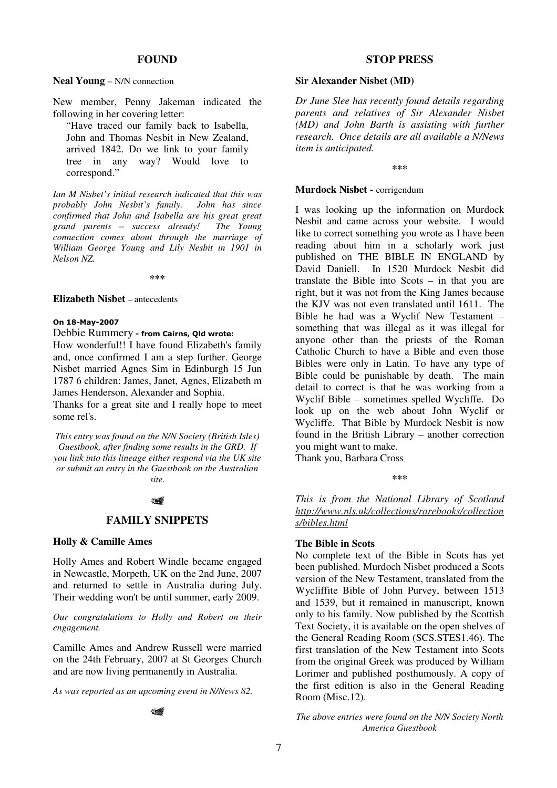## **FOUND**

#### **Neal Young** – N/N connection

New member, Penny Jakeman indicated the following in her covering letter:

"Have traced our family back to Isabella, John and Thomas Nesbit in New Zealand, arrived 1842. Do we link to your family tree in any way? Would love to correspond."

*Ian M Nisbet's initial research indicated that this was probably John Nesbit's family. John has since confirmed that John and Isabella are his great great grand parents – success already! The Young connection comes about through the marriage of William George Young and Lily Nesbit in 1901 in Nelson NZ.*

**\*\*\***

#### **Elizabeth Nisbet** – antecedents

#### On 18-May-2007

### Debbie Rummery - from Cairns, Qld wrote:

How wonderful!! I have found Elizabeth's family and, once confirmed I am a step further. George Nisbet married Agnes Sim in Edinburgh 15 Jun 1787 6 children: James, Janet, Agnes, Elizabeth m James Henderson, Alexander and Sophia.

Thanks for a great site and I really hope to meet some rel's.

*This entry was found on the N/N Society (British Isles) Guestbook, after finding some results in the GRD. If you link into this lineage either respond via the UK site or submit an entry in the Guestbook on the Australian site.*

### ٢

#### **FAMILY SNIPPETS**

## **Holly & Camille Ames**

Holly Ames and Robert Windle became engaged in Newcastle, Morpeth, UK on the 2nd June, 2007 and returned to settle in Australia during July. Their wedding won't be until summer, early 2009.

*Our congratulations to Holly and Robert on their engagement.*

Camille Ames and Andrew Russell were married on the 24th February, 2007 at St Georges Church and are now living permanently in Australia.

*As was reported as an upcoming event in N/News 82.*

14

## **STOP PRESS**

### **Sir Alexander Nisbet (MD)**

*Dr June Slee has recently found details regarding parents and relatives of Sir Alexander Nisbet (MD) and John Barth is assisting with further research. Once details are all available a N/News item is anticipated.*

**\*\*\***

#### **Murdock Nisbet -** corrigendum

I was looking up the information on Murdock Nesbit and came across your website. I would like to correct something you wrote as I have been reading about him in a scholarly work just published on THE BIBLE IN ENGLAND by David Daniell. In 1520 Murdock Nesbit did translate the Bible into Scots – in that you are right, but it was not from the King James because the KJV was not even translated until 1611. The Bible he had was a Wyclif New Testament – something that was illegal as it was illegal for anyone other than the priests of the Roman Catholic Church to have a Bible and even those Bibles were only in Latin. To have any type of Bible could be punishable by death. The main detail to correct is that he was working from a Wyclif Bible – sometimes spelled Wycliffe. Do look up on the web about John Wyclif or Wycliffe. That Bible by Murdock Nesbit is now found in the British Library – another correction you might want to make.

Thank you, Barbara Cross

**\*\*\***

*This is from the National Library of Scotland http://www.nls.uk/collections/rarebooks/collection s/bibles.html*

### **The Bible in Scots**

No complete text of the Bible in Scots has yet been published. Murdoch Nisbet produced a Scots version of the New Testament, translated from the Wycliffite Bible of John Purvey, between 1513 and 1539, but it remained in manuscript, known only to his family. Now published by the Scottish Text Society, it is available on the open shelves of the General Reading Room (SCS.STES1.46). The first translation of the New Testament into Scots from the original Greek was produced by William Lorimer and published posthumously. A copy of the first edition is also in the General Reading Room (Misc.12).

*The above entries were found on the N/N Society North America Guestbook*